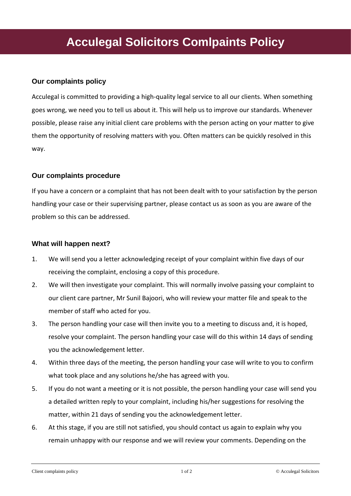# **Acculegal Solicitors Comlpaints Policy**

## **Our complaints policy**

Acculegal is committed to providing a high-quality legal service to all our clients. When something goes wrong, we need you to tell us about it. This will help us to improve our standards. Whenever possible, please raise any initial client care problems with the person acting on your matter to give them the opportunity of resolving matters with you. Often matters can be quickly resolved in this way.

## **Our complaints procedure**

If you have a concern or a complaint that has not been dealt with to your satisfaction by the person handling your case or their supervising partner, please contact us as soon as you are aware of the problem so this can be addressed.

#### **What will happen next?**

- 1. We will send you a letter acknowledging receipt of your complaint within five days of our receiving the complaint, enclosing a copy of this procedure.
- 2. We will then investigate your complaint. This will normally involve passing your complaint to our client care partner, Mr Sunil Bajoori, who will review your matter file and speak to the member of staff who acted for you.
- 3. The person handling your case will then invite you to a meeting to discuss and, it is hoped, resolve your complaint. The person handling your case will do this within 14 days of sending you the acknowledgement letter.
- 4. Within three days of the meeting, the person handling your case will write to you to confirm what took place and any solutions he/she has agreed with you.
- 5. If you do not want a meeting or it is not possible, the person handling your case will send you a detailed written reply to your complaint, including his/her suggestions for resolving the matter, within 21 days of sending you the acknowledgement letter.
- 6. At this stage, if you are still not satisfied, you should contact us again to explain why you remain unhappy with our response and we will review your comments. Depending on the